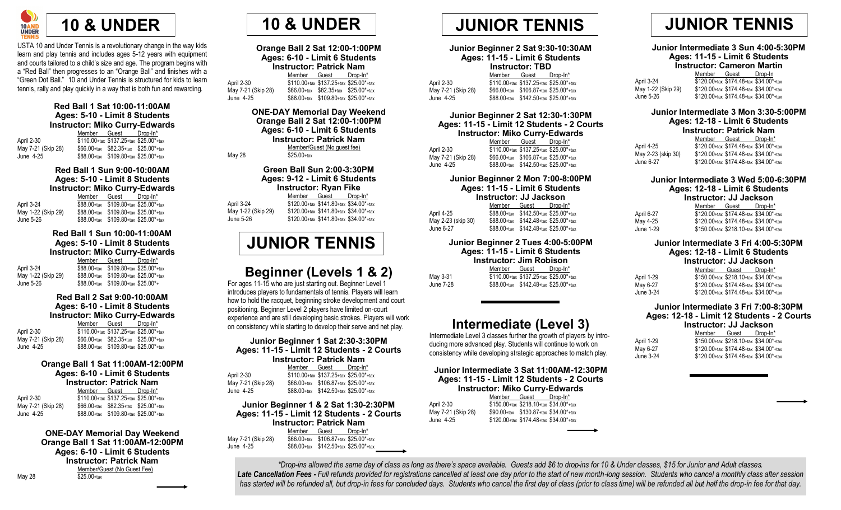

USTA 10 and Under Tennis is a revolutionary change in the way kids learn and play tennis and includes ages 5-12 years with equipment and courts tailored to a child's size and age. The program begins with a "Red Ball" then progresses to an "Orange Ball" and finishes with a "Green Dot Ball." 10 and Under Tennis is structured for kids to learn tennis, rally and play quickly in a way that is both fun and rewarding.

#### **Red Ball 1 Sat 10:00-11:00AM Ages: 5-10 - Limit 8 Students Instructor: Miko Curry-Edwards**

Member Guest Drop-In\* April 2-30  $\overline{$}110.00 + \text{tax} $137.25 + \text{tax} $25.00^* + \text{tax}$ <br>May 7-21 (Skip 28)  $$66.00 + \text{tax} $82.35 + \text{tax} $25.00^* + \text{tax}$  $$66.00*$ tax  $$82.35*$ tax  $$25.00*$ <sup>+</sup>tax June 4-25 \$88.00+tax \$109.80+tax \$25.00\*+tax

#### **Red Ball 1 Sun 9:00-10:00AM Ages: 5-10 - Limit 8 Students Instructor: Miko Curry-Edwards**

Member Guest Drop-In\* April 3-24  $\overline{$88.00+}_{\text{tax}}$  \$109.80+tax \$25.00\*+tax May 1-22 (Skip 29) \$88.00+tax \$109.80+tax \$25.00\*+tax<br>- \$88.00+tax \$109.80+tax \$25.00\*+tax  $$88.00+$ tax  $$109.80+$ tax  $$25.00*$ +tax

#### **Red Ball 1 Sun 10:00-11:00AM Ages: 5-10 - Limit 8 Students Instructor: Miko Curry-Edwards**

Member Guest Drop-In\* April 3-24 \$88.00+tax \$109.80+tax \$25.00\*+tax May 1-22 (Skip 29) \$88.00+tax \$109.80+tax \$25.00\*+tax June 5-26 \$88.00+tax \$109.80+tax \$25.00\*+

#### **Red Ball 2 Sat 9:00-10:00AM Ages: 6-10 - Limit 8 Students Instructor: Miko Curry-Edwards**

|                    | Member | Guest                                      | Drop-In* |
|--------------------|--------|--------------------------------------------|----------|
| April 2-30         |        | \$110.00+tax \$137.25+tax \$25.00*+tax     |          |
| May 7-21 (Skip 28) |        | $$66.00+$ tax $$82.35+$ tax $$25.00*$ +tax |          |
| June 4-25          |        | \$88.00+tax \$109.80+tax \$25.00*+tax      |          |

#### **Orange Ball 1 Sat 11:00AM-12:00PM Ages: 6-10 - Limit 6 Students Instructor: Patrick Nam**

| May 7-21 (Skip 28) | Member Guest Drop-In*<br>\$110.00+tax \$137.25+tax \$25.00*+tax<br>$$66.00+$ tax $$82.35+$ tax $$25.00*$ +tax<br>$$88.00+$ tax $$109.80+$ tax $$25.00*$ +tax |
|--------------------|--------------------------------------------------------------------------------------------------------------------------------------------------------------|

**ONE-DAY Memorial Day Weekend Orange Ball 1 Sat 11:00AM-12:00PM Ages: 6-10 - Limit 6 Students Instructor: Patrick Nam** Member/Guest (No Guest Fee) May 28 \$25.00+tax



| Orange Ball 2 Sat 12:00-1:00PM<br>Ages: 6-10 - Limit 6 Students<br><b>Instructor: Patrick Nam</b> |  |                                            |  |  |
|---------------------------------------------------------------------------------------------------|--|--------------------------------------------|--|--|
|                                                                                                   |  | Member Guest Drop-In*                      |  |  |
| April 2-30                                                                                        |  | \$110.00+tax \$137.25+tax \$25.00*+tax     |  |  |
| May 7-21 (Skip 28)                                                                                |  | $$66.00+$ tax $$82.35+$ tax $$25.00*$ +tax |  |  |
| June 4-25                                                                                         |  | \$88.00+tax \$109.80+tax \$25.00*+tax      |  |  |
| ONE DAV Momorial Day Wookong                                                                      |  |                                            |  |  |

**ONE-DAY Memorial Day Weekend Orange Ball 2 Sat 12:00-1:00PM Ages: 6-10 - Limit 6 Students Instructor: Patrick Nam** Member/Guest (No guest fee) May 28  $\overline{$}25.00+$ tax

#### **Green Ball Sun 2:00-3:30PM Ages: 9-12 - Limit 6 Students Instructor: Ryan Fike**

Member Guest Drop-In\* April 3-24 \$120.00+tax \$141.80+tax \$34.00\*+tax May 1-22 (Skip 29) \$120.00+tax \$141.80+tax \$34.00\*+tax June 5-26 \$120.00+tax \$141.80+tax \$34.00\*+tax

# **JUNIOR TENNIS**

# **Beginner (Levels 1 & 2)**

For ages 11-15 who are just starting out. Beginner Level 1 introduces players to fundamentals of tennis. Players will learn how to hold the racquet, beginning stroke development and court positioning. Beginner Level 2 players have limited on-court experience and are still developing basic strokes. Players will work on consistency while starting to develop their serve and net play.

#### **Junior Beginner 1 Sat 2:30-3:30PM Ages: 11-15 - Limit 12 Students - 2 Courts Instructor: Patrick Nam**

|                    | Member Guest                                | Drop-In* |
|--------------------|---------------------------------------------|----------|
| April 2-30         | \$110.00+tax \$137.25+tax \$25.00*+tax      |          |
| May 7-21 (Skip 28) | $$66.00+$ tax $$106.87+$ tax $$25.00*$ +tax |          |
| June 4-25          | $$88.00+$ tax $$142.50+$ tax $$25.00*$ +tax |          |

#### **Junior Beginner 1 & 2 Sat 1:30-2:30PM Ages: 11-15 - Limit 12 Students - 2 Courts Instructor: Patrick Nam** Member Guest Drop-In\* May 7-21 (Skip 28) \$66.00+tax \$106.87+tax \$25.00\*+tax

June 4-25 \$88.00+tax \$142.50+tax \$25.00\*+tax



#### **Junior Beginner 2 Sat 9:30-10:30AM Ages: 11-15 - Limit 6 Students Instructor: TBD**

|                    | 1113uuvuu 1 DD |                                             |  |  |  |
|--------------------|----------------|---------------------------------------------|--|--|--|
|                    |                | Member Guest Drop-In*                       |  |  |  |
| April 2-30         |                | \$110.00+tax \$137.25+tax \$25.00*+tax      |  |  |  |
| May 7-21 (Skip 28) |                | $$66.00+$ tax $$106.87+$ tax $$25.00*$ +tax |  |  |  |
| June 4-25          |                | $$88.00+$ tax $$142.50+$ tax $$25.00*$ +tax |  |  |  |
|                    |                |                                             |  |  |  |

#### **Junior Beginner 2 Sat 12:30-1:30PM Ages: 11-15 - Limit 12 Students - 2 Courts Instructor: Miko Curry-Edwards**

|                    | Member                                 | Guest                                 | Drop-In* |
|--------------------|----------------------------------------|---------------------------------------|----------|
| April 2-30         | \$110,00+tax \$137,25+tax \$25,00*+tax |                                       |          |
| May 7-21 (Skip 28) |                                        | \$66.00+tax \$106.87+tax \$25.00*+tax |          |
| June 4-25          |                                        | \$88.00+tax \$142.50+tax \$25.00*+tax |          |

#### **Junior Beginner 2 Mon 7:00-8:00PM Ages: 11-15 - Limit 6 Students Instructor: JJ Jackson**

|                    | Member | Guest                                       | Drop-In* |  |
|--------------------|--------|---------------------------------------------|----------|--|
| April 4-25         |        | $$88.00+$ tax $$142.50+$ tax $$25.00*$ +tax |          |  |
| May 2-23 (skip 30) |        | \$88.00+tax \$142.48+tax \$25.00*+tax       |          |  |
| June 6-27          |        | \$88.00+tax \$142.48+tax \$25.00*+tax       |          |  |

#### **Junior Beginner 2 Tues 4:00-5:00PM Ages: 11-15 - Limit 6 Students Instructor: Jim Robison**<br>Member Guest Dron-In<sup>\*</sup> Member Guest May 3-31

| May 3-31  | \$110.00+tax \$137.25+tax \$25.00*+tax      |  |
|-----------|---------------------------------------------|--|
| June 7-28 | $$88.00+$ tax $$142.48+$ tax $$25.00*$ +tax |  |

# **Intermediate (Level 3)**

Intermediate Level 3 classes further the growth of players by introducing more advanced play. Students will continue to work on consistency while developing strategic approaches to match play.

#### **Junior Intermediate 3 Sat 11:00AM-12:30PM Ages: 11-15 - Limit 12 Students - 2 Courts Instructor: Miko Curry-Edwards**

| Member | Drop-In*                                                                                                                           |
|--------|------------------------------------------------------------------------------------------------------------------------------------|
|        |                                                                                                                                    |
|        |                                                                                                                                    |
|        |                                                                                                                                    |
|        | Guest<br>\$150.00+tax \$218.10+tax \$34.00*+tax<br>\$90.00+tax \$130.87+tax \$34.00*+tax<br>\$120.00+tax \$174.48+tax \$34.00*+tax |

#### **Junior Intermediate 3 Sun 4:00-5:30PM**

**Ages: 11-15 - Limit 6 Students**

#### **Instructor: Cameron Martin**

|                    | Member | Guest                                        | Drop-In |
|--------------------|--------|----------------------------------------------|---------|
| April 3-24         |        | $$120.00+$ tax $$174.48+$ tax $$34.00*$ +tax |         |
| May 1-22 (Skip 29) |        | $$120.00+$ tax $$174.48+$ tax $$34.00*$ +tax |         |
| June 5-26          |        | $$120.00+$ tax $$174.48+$ tax $$34.00*$ +tax |         |

#### **Junior Intermediate 3 Mon 3:30-5:00PM**

| Ages: 12-18 - Limit 6 Students |  |                                        |  |  |  |
|--------------------------------|--|----------------------------------------|--|--|--|
| <b>Instructor: Patrick Nam</b> |  |                                        |  |  |  |
|                                |  | Member Guest Drop-In*                  |  |  |  |
| April 4-25                     |  | \$120.00+tax \$174.48+tax \$34.00*+tax |  |  |  |
| May 2-23 (skip 30)             |  | \$120.00+tax \$174.48+tax \$34.00*+tax |  |  |  |
| June 6-27                      |  | \$120.00+tax \$174.48+tax \$34.00*+tax |  |  |  |

### **Junior Intermediate 3 Wed 5:00-6:30PM**

**Ages: 12-18 - Limit 6 Students**

|  |  | Instructor: JJ Jackson |  |
|--|--|------------------------|--|
|  |  |                        |  |

|            | Member                                       | Guest | Drop-In* |
|------------|----------------------------------------------|-------|----------|
| April 6-27 | $$120.00+$ tax $$174.48+$ tax $$34.00*$ +tax |       |          |
| May 4-25   | \$120.00+tax \$174.48+tax \$34.00*+tax       |       |          |
| June 1-29  | \$150.00+tax \$218.10+tax \$34.00*+tax       |       |          |

#### **Junior Intermediate 3 Fri 4:00-5:30PM Ages: 12-18 - Limit 6 Students**

#### **Instructor: JJ Jackson**

|            | Member | Guest                                  | Drop-In* |
|------------|--------|----------------------------------------|----------|
| April 1-29 |        | \$150.00+tax \$218.10+tax \$34.00*+tax |          |
| May 6-27   |        | \$120.00+tax \$174.48+tax \$34.00*+tax |          |
| June 3-24  |        | \$120.00+tax \$174.48+tax \$34.00*+tax |          |

#### **Junior Intermediate 3 Fri 7:00-8:30PM Ages: 12-18 - Limit 12 Students - 2 Courts**

| Instructor: JJ Jackson |       |          |
|------------------------|-------|----------|
| Member                 | Guest | Drop-In* |

| \$150.00+tax \$218.10+tax \$34.00*+tax |  |
|----------------------------------------|--|
| \$120.00+tax \$174.48+tax \$34.00*+tax |  |
| \$120.00+tax \$174.48+tax \$34.00*+tax |  |

April 1-29 May 6-27 June 3-24

*\*Drop-ins allowed the same day of class as long as there's space available. Guests add \$6 to drop-ins for 10 & Under classes, \$15 for Junior and Adult classes.* Late Cancellation Fees - Full refunds provided for registrations cancelled at least one day prior to the start of new month-long session. Students who cancel a monthly class after session *has started will be refunded all, but drop-in fees for concluded days. Students who cancel the first day of class (prior to class time) will be refunded all but half the drop-in fee for that day.*